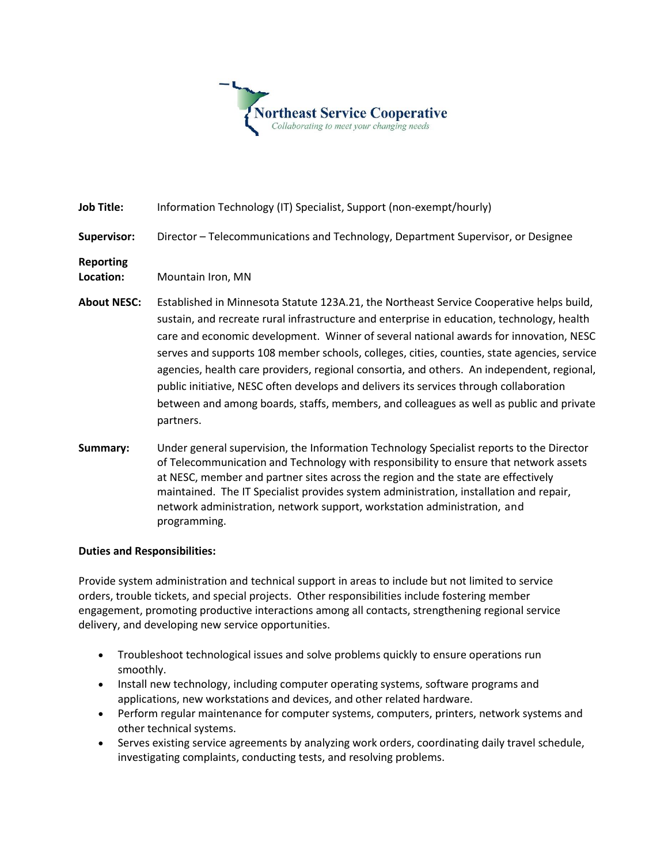

**Job Title:** Information Technology (IT) Specialist, Support (non-exempt/hourly)

## **Supervisor:** Director – Telecommunications and Technology, Department Supervisor, or Designee

**Reporting** 

**Location:** Mountain Iron, MN

- **About NESC:** Established in Minnesota Statute 123A.21, the Northeast Service Cooperative helps build, sustain, and recreate rural infrastructure and enterprise in education, technology, health care and economic development. Winner of several national awards for innovation, NESC serves and supports 108 member schools, colleges, cities, counties, state agencies, service agencies, health care providers, regional consortia, and others. An independent, regional, public initiative, NESC often develops and delivers its services through collaboration between and among boards, staffs, members, and colleagues as well as public and private partners.
- **Summary:** Under general supervision, the Information Technology Specialist reports to the Director of Telecommunication and Technology with responsibility to ensure that network assets at NESC, member and partner sites across the region and the state are effectively maintained. The IT Specialist provides system administration, installation and repair, network administration, network support, workstation administration, and programming.

## **Duties and Responsibilities:**

Provide system administration and technical support in areas to include but not limited to service orders, trouble tickets, and special projects. Other responsibilities include fostering member engagement, promoting productive interactions among all contacts, strengthening regional service delivery, and developing new service opportunities.

- Troubleshoot technological issues and solve problems quickly to ensure operations run smoothly.
- Install new technology, including computer operating systems, software programs and applications, new workstations and devices, and other related hardware.
- Perform regular maintenance for computer systems, computers, printers, network systems and other technical systems.
- Serves existing service agreements by analyzing work orders, coordinating daily travel schedule, investigating complaints, conducting tests, and resolving problems.